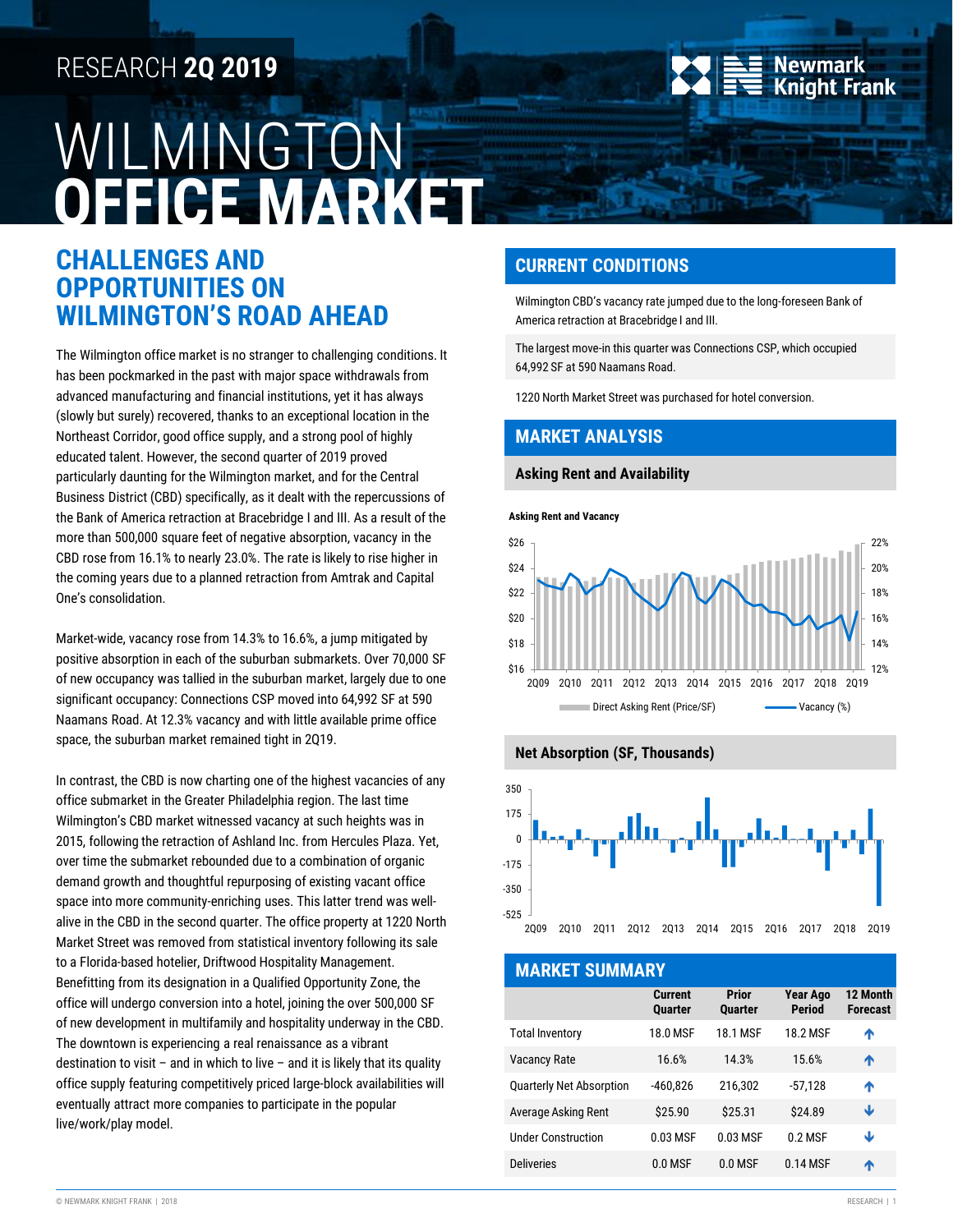# RESEARCH **2Q 2019**

# WILMINGTON **OFFICE MARKET**

## **CHALLENGES AND OPPORTUNITIES ON WILMINGTON'S ROAD AHEAD**

The Wilmington office market is no stranger to challenging conditions. It has been pockmarked in the past with major space withdrawals from advanced manufacturing and financial institutions, yet it has always (slowly but surely) recovered, thanks to an exceptional location in the Northeast Corridor, good office supply, and a strong pool of highly educated talent. However, the second quarter of 2019 proved particularly daunting for the Wilmington market, and for the Central Business District (CBD) specifically, as it dealt with the repercussions of the Bank of America retraction at Bracebridge I and III. As a result of the more than 500,000 square feet of negative absorption, vacancy in the CBD rose from 16.1% to nearly 23.0%. The rate is likely to rise higher in the coming years due to a planned retraction from Amtrak and Capital One's consolidation.

Market-wide, vacancy rose from 14.3% to 16.6%, a jump mitigated by positive absorption in each of the suburban submarkets. Over 70,000 SF of new occupancy was tallied in the suburban market, largely due to one significant occupancy: Connections CSP moved into 64,992 SF at 590 Naamans Road. At 12.3% vacancy and with little available prime office space, the suburban market remained tight in 2Q19.

In contrast, the CBD is now charting one of the highest vacancies of any office submarket in the Greater Philadelphia region. The last time Wilmington's CBD market witnessed vacancy at such heights was in 2015, following the retraction of Ashland Inc. from Hercules Plaza. Yet, over time the submarket rebounded due to a combination of organic demand growth and thoughtful repurposing of existing vacant office space into more community-enriching uses. This latter trend was wellalive in the CBD in the second quarter. The office property at 1220 North Market Street was removed from statistical inventory following its sale to a Florida-based hotelier, Driftwood Hospitality Management. Benefitting from its designation in a Qualified Opportunity Zone, the office will undergo conversion into a hotel, joining the over 500,000 SF of new development in multifamily and hospitality underway in the CBD. The downtown is experiencing a real renaissance as a vibrant destination to visit – and in which to live – and it is likely that its quality office supply featuring competitively priced large-block availabilities will eventually attract more companies to participate in the popular live/work/play model.



## **CURRENT CONDITIONS**

Wilmington CBD's vacancy rate jumped due to the long-foreseen Bank of America retraction at Bracebridge I and III.

The largest move-in this quarter was Connections CSP, which occupied 64,992 SF at 590 Naamans Road.

1220 North Market Street was purchased for hotel conversion.

## **MARKET ANALYSIS**

#### **Asking Rent and Availability**

**Asking Rent and Vacancy**





| <b>MARKET SUMMARY</b>           |                                  |                         |                                  |                             |  |  |  |
|---------------------------------|----------------------------------|-------------------------|----------------------------------|-----------------------------|--|--|--|
|                                 | <b>Current</b><br><b>Quarter</b> | Prior<br><b>Quarter</b> | <b>Year Ago</b><br><b>Period</b> | 12 Month<br><b>Forecast</b> |  |  |  |
| <b>Total Inventory</b>          | <b>18.0 MSF</b>                  | <b>18.1 MSF</b>         | <b>18.2 MSF</b>                  | ᠰ                           |  |  |  |
| <b>Vacancy Rate</b>             | 16.6%                            | 14.3%                   | 15.6%                            | ᠰ                           |  |  |  |
| <b>Quarterly Net Absorption</b> | $-460.826$                       | 216.302                 | $-57.128$                        | ᠰ                           |  |  |  |
| Average Asking Rent             | \$25.90                          | \$25.31                 | \$24.89                          | Ψ                           |  |  |  |
| <b>Under Construction</b>       | 0.03 MSF                         | 0.03 MSF                | $0.2$ MSF                        | Ψ                           |  |  |  |
| <b>Deliveries</b>               | $0.0$ MSF                        | $0.0$ MSF               | 0.14 MSF                         | Λ                           |  |  |  |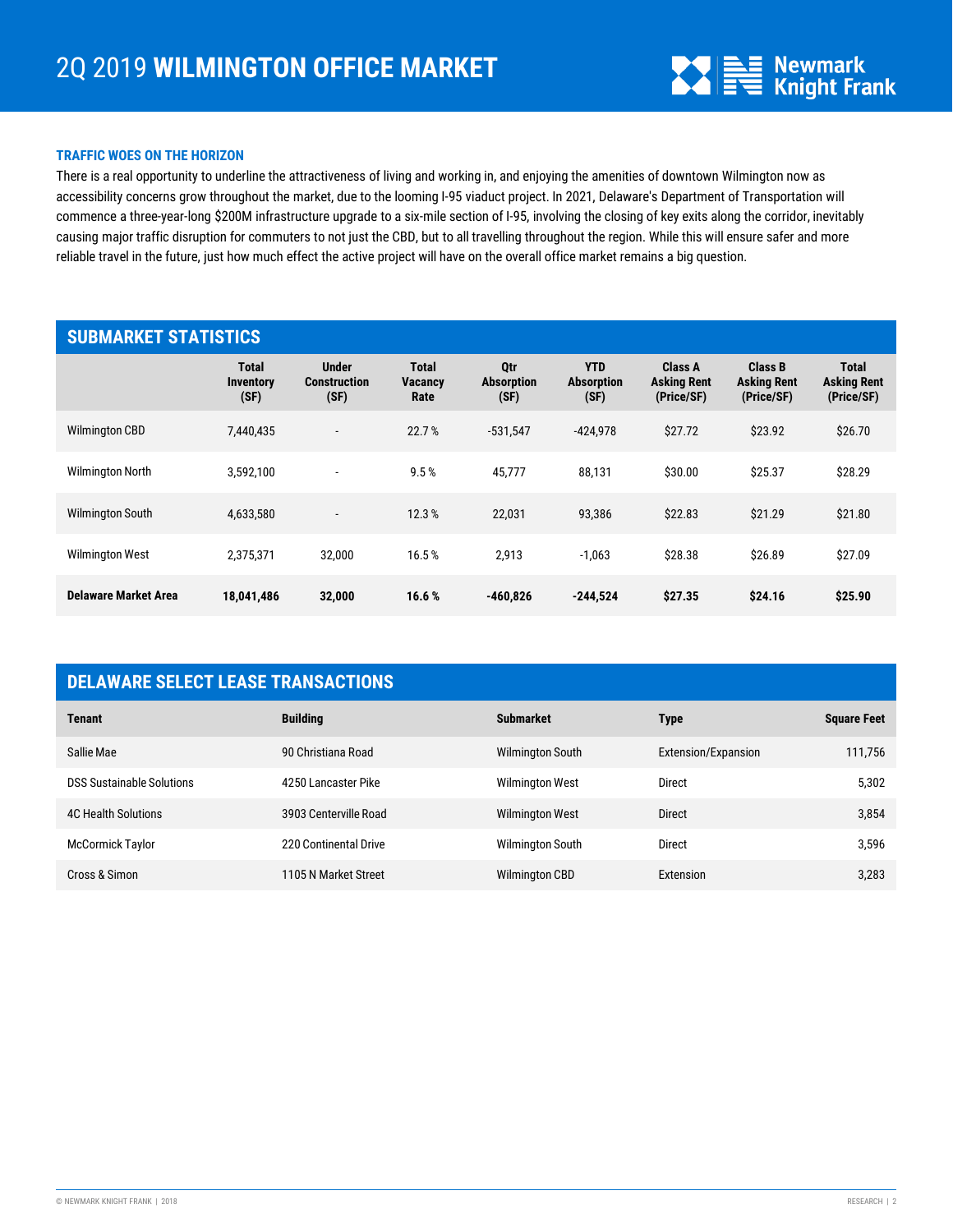

#### **TRAFFIC WOES ON THE HORIZON**

There is a real opportunity to underline the attractiveness of living and working in, and enjoying the amenities of downtown Wilmington now as accessibility concerns grow throughout the market, due to the looming I-95 viaduct project. In 2021, Delaware's Department of Transportation will commence a three-year-long \$200M infrastructure upgrade to a six-mile section of I-95, involving the closing of key exits along the corridor, inevitably causing major traffic disruption for commuters to not just the CBD, but to all travelling throughout the region. While this will ensure safer and more reliable travel in the future, just how much effect the active project will have on the overall office market remains a big question.

| <b>SUBMARKET STATISTICS</b> |                                          |                                             |                                        |                                         |                                         |                                                    |                                             |                                                  |
|-----------------------------|------------------------------------------|---------------------------------------------|----------------------------------------|-----------------------------------------|-----------------------------------------|----------------------------------------------------|---------------------------------------------|--------------------------------------------------|
|                             | <b>Total</b><br><b>Inventory</b><br>(SF) | <b>Under</b><br><b>Construction</b><br>(SF) | <b>Total</b><br><b>Vacancy</b><br>Rate | <b>Otr</b><br><b>Absorption</b><br>(SF) | <b>YTD</b><br><b>Absorption</b><br>(SF) | <b>Class A</b><br><b>Asking Rent</b><br>(Price/SF) | Class B<br><b>Asking Rent</b><br>(Price/SF) | <b>Total</b><br><b>Asking Rent</b><br>(Price/SF) |
| <b>Wilmington CBD</b>       | 7.440.435                                | $\overline{\phantom{a}}$                    | 22.7%                                  | $-531,547$                              | $-424.978$                              | \$27.72                                            | \$23.92                                     | \$26.70                                          |
| <b>Wilmington North</b>     | 3.592.100                                | $\overline{\phantom{a}}$                    | 9.5%                                   | 45,777                                  | 88,131                                  | \$30.00                                            | \$25.37                                     | \$28.29                                          |
| <b>Wilmington South</b>     | 4,633,580                                | $\overline{\phantom{a}}$                    | 12.3%                                  | 22,031                                  | 93,386                                  | \$22.83                                            | \$21.29                                     | \$21.80                                          |
| <b>Wilmington West</b>      | 2,375,371                                | 32,000                                      | 16.5%                                  | 2,913                                   | $-1,063$                                | \$28.38                                            | \$26.89                                     | \$27.09                                          |
| Delaware Market Area        | 18,041,486                               | 32,000                                      | 16.6%                                  | $-460,826$                              | $-244,524$                              | \$27.35                                            | \$24.16                                     | \$25.90                                          |

## **DELAWARE SELECT LEASE TRANSACTIONS**

| <b>Tenant</b>                    | <b>Building</b>       | <b>Submarket</b>        | <b>Type</b>         | <b>Square Feet</b> |
|----------------------------------|-----------------------|-------------------------|---------------------|--------------------|
| Sallie Mae                       | 90 Christiana Road    | Wilmington South        | Extension/Expansion | 111,756            |
| <b>DSS Sustainable Solutions</b> | 4250 Lancaster Pike   | <b>Wilmington West</b>  | Direct              | 5,302              |
| <b>4C Health Solutions</b>       | 3903 Centerville Road | <b>Wilmington West</b>  | <b>Direct</b>       | 3,854              |
| <b>McCormick Taylor</b>          | 220 Continental Drive | <b>Wilmington South</b> | Direct              | 3,596              |
| Cross & Simon                    | 1105 N Market Street  | <b>Wilmington CBD</b>   | Extension           | 3,283              |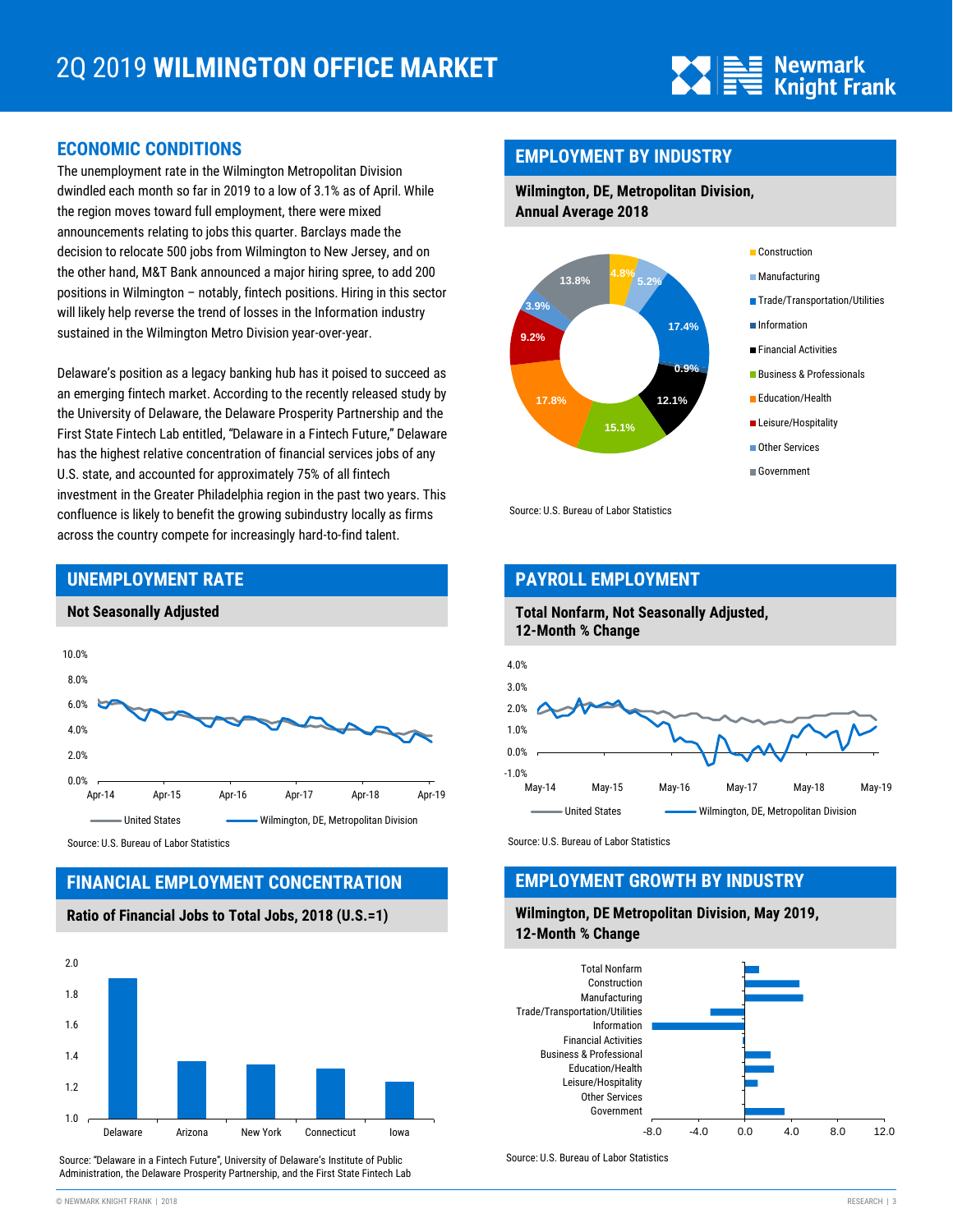

## **ECONOMIC CONDITIONS**

The unemployment rate in the Wilmington Metropolitan Division dwindled each month so far in 2019 to a low of 3.1% as of April. While the region moves toward full employment, there were mixed announcements relating to jobs this quarter. Barclays made the decision to relocate 500 jobs from Wilmington to New Jersey, and on the other hand, M&T Bank announced a major hiring spree, to add 200 positions in Wilmington – notably, fintech positions. Hiring in this sector will likely help reverse the trend of losses in the Information industry sustained in the Wilmington Metro Division year-over-year.

Delaware's position as a legacy banking hub has it poised to succeed as an emerging fintech market. According to the recently released study by the University of Delaware, the Delaware Prosperity Partnership and the First State Fintech Lab entitled, "Delaware in a Fintech Future," Delaware has the highest relative concentration of financial services jobs of any U.S. state, and accounted for approximately 75% of all fintech investment in the Greater Philadelphia region in the past two years. This confluence is likely to benefit the growing subindustry locally as firms across the country compete for increasingly hard-to-find talent.

## 0.0% 2.0% 4.0% 6.0% 8.0% 10.0% Apr-14 Apr-15 Apr-16 Apr-17 Apr-18 Apr-19 United States **Wilmington, DE, Metropolitan Division**

Source: U.S. Bureau of Labor Statistics

**UNEMPLOYMENT RATE**

**Not Seasonally Adjusted**

## **FINANCIAL EMPLOYMENT CONCENTRATION**

## **Ratio of Financial Jobs to Total Jobs, 2018 (U.S.=1)**



Source: "Delaware in a Fintech Future", University of Delaware's Institute of Public Administration, the Delaware Prosperity Partnership, and the First State Fintech Lab

## **EMPLOYMENT BY INDUSTRY**

**Wilmington, DE, Metropolitan Division, Annual Average 2018**



Source: U.S. Bureau of Labor Statistics

## **PAYROLL EMPLOYMENT**

#### **Total Nonfarm, Not Seasonally Adjusted, 12-Month % Change**



Source: U.S. Bureau of Labor Statistics

## **EMPLOYMENT GROWTH BY INDUSTRY**

#### **Wilmington, DE Metropolitan Division, May 2019, 12-Month % Change**



Source: U.S. Bureau of Labor Statistics